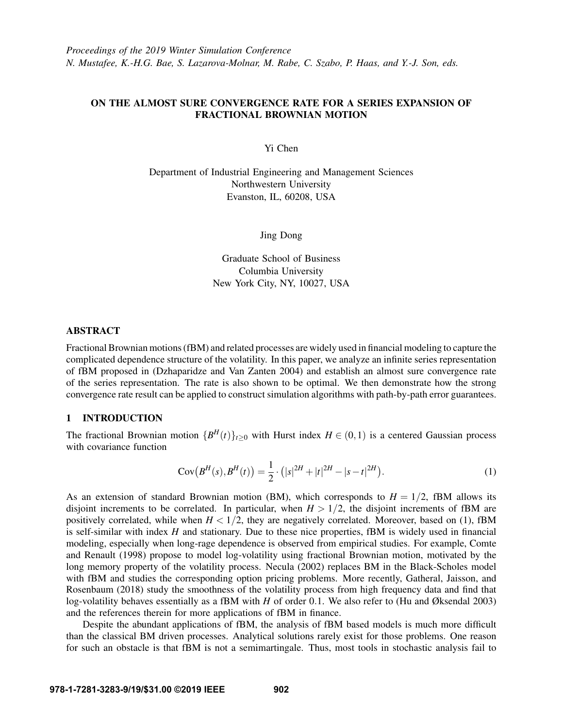# ON THE ALMOST SURE CONVERGENCE RATE FOR A SERIES EXPANSION OF FRACTIONAL BROWNIAN MOTION

Yi Chen

Department of Industrial Engineering and Management Sciences Northwestern University Evanston, IL, 60208, USA

## Jing Dong

Graduate School of Business Columbia University New York City, NY, 10027, USA

## ABSTRACT

Fractional Brownian motions (fBM) and related processes are widely used in financial modeling to capture the complicated dependence structure of the volatility. In this paper, we analyze an infinite series representation of fBM proposed in [\(Dzhaparidze and Van Zanten 2004\)](#page-10-0) and establish an almost sure convergence rate of the series representation. The rate is also shown to be optimal. We then demonstrate how the strong convergence rate result can be applied to construct simulation algorithms with path-by-path error guarantees.

## 1 INTRODUCTION

The fractional Brownian motion  ${B<sup>H</sup>(t)}_{t\geq0}$  with Hurst index  $H \in (0,1)$  is a centered Gaussian process with covariance function

<span id="page-0-0"></span>
$$
Cov(B^{H}(s), B^{H}(t)) = \frac{1}{2} \cdot (|s|^{2H} + |t|^{2H} - |s - t|^{2H}).
$$
\n(1)

As an extension of standard Brownian motion (BM), which corresponds to  $H = 1/2$ , fBM allows its disjoint increments to be correlated. In particular, when  $H > 1/2$ , the disjoint increments of fBM are positively correlated, while when  $H < 1/2$ , they are negatively correlated. Moreover, based on [\(1\)](#page-0-0), fBM is self-similar with index *H* and stationary. Due to these nice properties, fBM is widely used in financial modeling, especially when long-rage dependence is observed from empirical studies. For example, [Comte](#page-10-1) [and Renault \(1998\)](#page-10-1) propose to model log-volatility using fractional Brownian motion, motivated by the long memory property of the volatility process. [Necula \(2002\)](#page-11-0) replaces BM in the Black-Scholes model with fBM and studies the corresponding option pricing problems. More recently, [Gatheral, Jaisson, and](#page-11-1) [Rosenbaum \(2018\)](#page-11-1) study the smoothness of the volatility process from high frequency data and find that log-volatility behaves essentially as a fBM with *H* of order 0.1. We also refer to [\(Hu and Øksendal 2003\)](#page-11-2) and the references therein for more applications of fBM in finance.

Despite the abundant applications of fBM, the analysis of fBM based models is much more difficult than the classical BM driven processes. Analytical solutions rarely exist for those problems. One reason for such an obstacle is that fBM is not a semimartingale. Thus, most tools in stochastic analysis fail to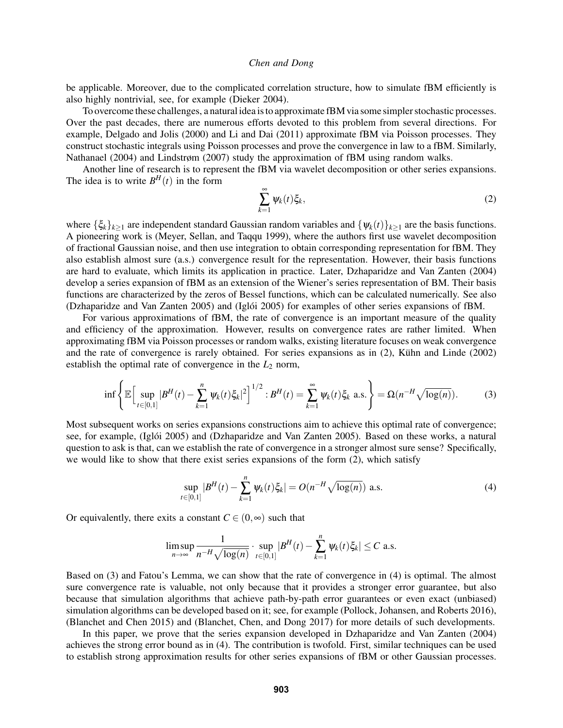be applicable. Moreover, due to the complicated correlation structure, how to simulate fBM efficiently is also highly nontrivial, see, for example [\(Dieker 2004\)](#page-10-2).

To overcome these challenges, a natural idea is to approximate fBM via some simpler stochastic processes. Over the past decades, there are numerous efforts devoted to this problem from several directions. For example, [Delgado and Jolis \(2000\)](#page-10-3) and [Li and Dai \(2011\)](#page-11-3) approximate fBM via Poisson processes. They construct stochastic integrals using Poisson processes and prove the convergence in law to a fBM. Similarly, [Nathanael \(2004\)](#page-11-4) and [Lindstrøm \(2007\)](#page-11-5) study the approximation of fBM using random walks.

Another line of research is to represent the fBM via wavelet decomposition or other series expansions. The idea is to write  $B<sup>H</sup>(t)$  in the form

<span id="page-1-1"></span><span id="page-1-0"></span>
$$
\sum_{k=1}^{\infty} \psi_k(t) \xi_k, \tag{2}
$$

where  $\{\xi_k\}_{k\geq 1}$  are independent standard Gaussian random variables and  $\{\psi_k(t)\}_{k\geq 1}$  are the basis functions. A pioneering work is [\(Meyer, Sellan, and Taqqu 1999\)](#page-11-6), where the authors first use wavelet decomposition of fractional Gaussian noise, and then use integration to obtain corresponding representation for fBM. They also establish almost sure (a.s.) convergence result for the representation. However, their basis functions are hard to evaluate, which limits its application in practice. Later, [Dzhaparidze and Van Zanten \(2004\)](#page-10-0) develop a series expansion of fBM as an extension of the Wiener's series representation of BM. Their basis functions are characterized by the zeros of Bessel functions, which can be calculated numerically. See also [\(Dzhaparidze and Van Zanten 2005\)](#page-11-7) and (Iglói 2005) for examples of other series expansions of fBM.

For various approximations of fBM, the rate of convergence is an important measure of the quality and efficiency of the approximation. However, results on convergence rates are rather limited. When approximating fBM via Poisson processes or random walks, existing literature focuses on weak convergence and the rate of convergence is rarely obtained. For series expansions as in  $(2)$ , Kühn and Linde  $(2002)$ establish the optimal rate of convergence in the  $L_2$  norm,

$$
\inf \left\{ \mathbb{E} \Big[ \sup_{t \in [0,1]} |B^H(t) - \sum_{k=1}^n \psi_k(t) \xi_k|^2 \Big]^{1/2} : B^H(t) = \sum_{k=1}^\infty \psi_k(t) \xi_k \text{ a.s.} \right\} = \Omega(n^{-H} \sqrt{\log(n)}).
$$
 (3)

Most subsequent works on series expansions constructions aim to achieve this optimal rate of convergence; see, for example, (Iglói 2005) and [\(Dzhaparidze and Van Zanten 2005\)](#page-11-7). Based on these works, a natural question to ask is that, can we establish the rate of convergence in a stronger almost sure sense? Specifically, we would like to show that there exist series expansions of the form  $(2)$ , which satisfy

<span id="page-1-2"></span>
$$
\sup_{t \in [0,1]} |B^H(t) - \sum_{k=1}^n \psi_k(t)\xi_k| = O(n^{-H}\sqrt{\log(n)}) \text{ a.s.}
$$
 (4)

Or equivalently, there exits a constant  $C \in (0, \infty)$  such that

$$
\limsup_{n\to\infty}\frac{1}{n^{-H}\sqrt{\log(n)}}\cdot\sup_{t\in[0,1]}|B^H(t)-\sum_{k=1}^n\psi_k(t)\xi_k|\leq C\text{ a.s.}
$$

Based on [\(3\)](#page-1-1) and Fatou's Lemma, we can show that the rate of convergence in [\(4\)](#page-1-2) is optimal. The almost sure convergence rate is valuable, not only because that it provides a stronger error guarantee, but also because that simulation algorithms that achieve path-by-path error guarantees or even exact (unbiased) simulation algorithms can be developed based on it; see, for example [\(Pollock, Johansen, and Roberts 2016\)](#page-11-10), [\(Blanchet and Chen 2015\)](#page-10-4) and [\(Blanchet, Chen, and Dong 2017\)](#page-10-5) for more details of such developments.

In this paper, we prove that the series expansion developed in [Dzhaparidze and Van Zanten \(2004\)](#page-10-0) achieves the strong error bound as in [\(4\)](#page-1-2). The contribution is twofold. First, similar techniques can be used to establish strong approximation results for other series expansions of fBM or other Gaussian processes.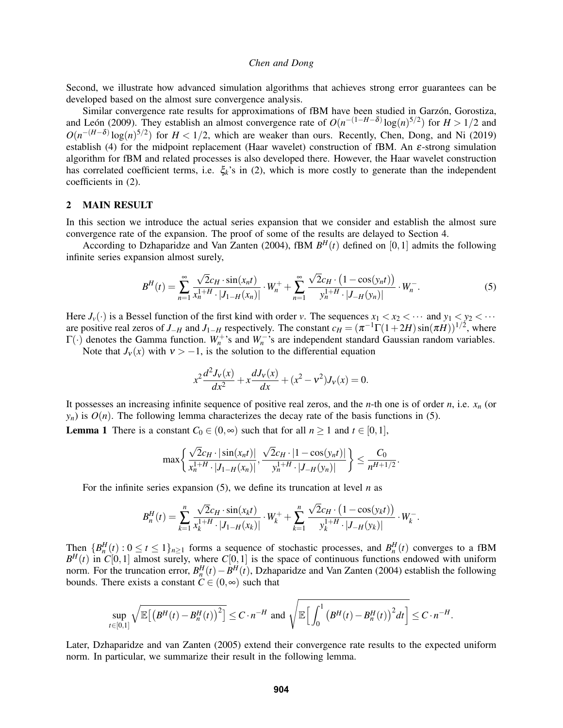Second, we illustrate how advanced simulation algorithms that achieves strong error guarantees can be developed based on the almost sure convergence analysis.

Similar convergence rate results for approximations of fBM have been studied in Garzón, Gorostiza, and León (2009). They establish an almost convergence rate of  $O(n^{-(1-H-\delta)}\log(n)^{5/2})$  for  $H > 1/2$  and  $O(n^{-(H-\delta)}\log(n)^{5/2})$  for  $H < 1/2$ , which are weaker than ours. Recently, [Chen, Dong, and Ni \(2019\)](#page-10-6) establish [\(4\)](#page-1-2) for the midpoint replacement (Haar wavelet) construction of fBM. An ε-strong simulation algorithm for fBM and related processes is also developed there. However, the Haar wavelet construction has correlated coefficient terms, i.e.  $\xi_k$ 's in [\(2\)](#page-1-0), which is more costly to generate than the independent coefficients in [\(2\)](#page-1-0).

## 2 MAIN RESULT

In this section we introduce the actual series expansion that we consider and establish the almost sure convergence rate of the expansion. The proof of some of the results are delayed to Section [4.](#page-5-0)

According to [Dzhaparidze and Van Zanten \(2004\),](#page-10-0) fBM  $B<sup>H</sup>(t)$  defined on [0,1] admits the following infinite series expansion almost surely,

$$
B^{H}(t) = \sum_{n=1}^{\infty} \frac{\sqrt{2}c_{H} \cdot \sin(x_{n}t)}{x_{n}^{1+H} \cdot |J_{1-H}(x_{n})|} \cdot W_{n}^{+} + \sum_{n=1}^{\infty} \frac{\sqrt{2}c_{H} \cdot (1 - \cos(y_{n}t))}{y_{n}^{1+H} \cdot |J_{-H}(y_{n})|} \cdot W_{n}^{-}.
$$
 (5)

Here  $J_\nu(\cdot)$  is a Bessel function of the first kind with order *v*. The sequences  $x_1 < x_2 < \cdots$  and  $y_1 < y_2 < \cdots$ are positive real zeros of *J*<sub>−*H*</sub> and *J*<sub>1−*H*</sub> respectively. The constant  $c_H = (\pi^{-1}\Gamma(1+2H)\sin(\pi H))^{1/2}$ , where  $\Gamma(\cdot)$  denotes the Gamma function.  $W_n^+$ 's and  $W_n^-$ 's are independent standard Gaussian random variables.

Note that  $J_v(x)$  with  $v > -1$ , is the solution to the differential equation

<span id="page-2-0"></span>
$$
x^{2} \frac{d^{2} J_{v}(x)}{dx^{2}} + x \frac{dJ_{v}(x)}{dx} + (x^{2} - v^{2}) J_{v}(x) = 0.
$$

It possesses an increasing infinite sequence of positive real zeros, and the *n*-th one is of order *n*, i.e. *x<sup>n</sup>* (or  $y_n$ ) is  $O(n)$ . The following lemma characterizes the decay rate of the basis functions in [\(5\)](#page-2-0).

<span id="page-2-1"></span>**Lemma 1** There is a constant  $C_0 \in (0, \infty)$  such that for all  $n \ge 1$  and  $t \in [0, 1]$ ,

$$
\max\left\{\frac{\sqrt{2}c_H \cdot |\sin(x_n t)|}{x_n^{1+H} \cdot |J_{1-H}(x_n)|}, \frac{\sqrt{2}c_H \cdot |1 - \cos(y_n t)|}{y_n^{1+H} \cdot |J_{-H}(y_n)|}\right\} \leq \frac{C_0}{n^{H+1/2}}.
$$

For the infinite series expansion [\(5\)](#page-2-0), we define its truncation at level *n* as

$$
B_n^H(t) = \sum_{k=1}^n \frac{\sqrt{2}c_H \cdot \sin(x_k t)}{x_k^{1+H} \cdot |J_{1-H}(x_k)|} \cdot W_k^+ + \sum_{k=1}^n \frac{\sqrt{2}c_H \cdot (1 - \cos(y_k t))}{y_k^{1+H} \cdot |J_{-H}(y_k)|} \cdot W_k^-.
$$

Then  ${B_n^H(t) : 0 \le t \le 1}_{n \ge 1}$  forms a sequence of stochastic processes, and  $B_n^H(t)$  converges to a fBM  $B<sup>H</sup>(t)$  in *C*[0,1] almost surely, where *C*[0,1] is the space of continuous functions endowed with uniform norm. For the truncation error,  $B_n^H(t) - B^H(t)$ , [Dzhaparidze and Van Zanten \(2004\)](#page-10-0) establish the following bounds. There exists a constant  $C \in (0, \infty)$  such that

$$
\sup_{t\in[0,1]}\sqrt{\mathbb{E}\left[\left(B^H(t)-B_n^H(t)\right)^2\right]}\leq C\cdot n^{-H}\text{ and }\sqrt{\mathbb{E}\left[\int_0^1\left(B^H(t)-B_n^H(t)\right)^2dt\right]}\leq C\cdot n^{-H}.
$$

Later, [Dzhaparidze and van Zanten \(2005\)](#page-11-12) extend their convergence rate results to the expected uniform norm. In particular, we summarize their result in the following lemma.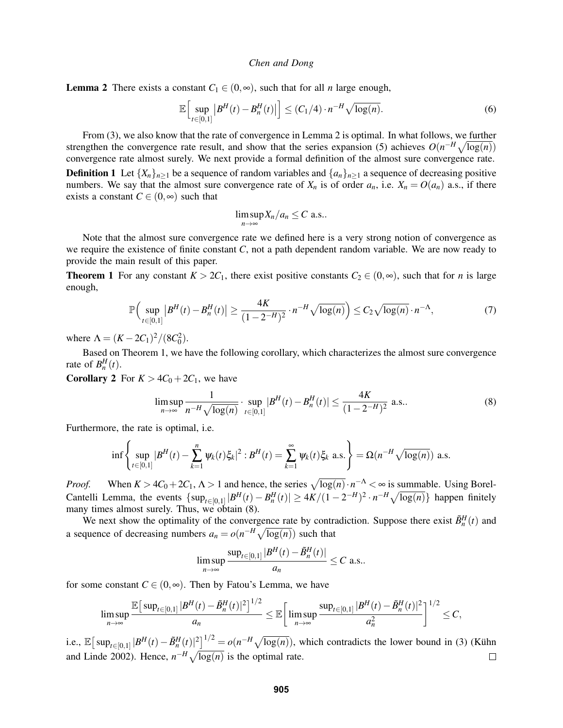<span id="page-3-0"></span>**Lemma 2** There exists a constant  $C_1 \in (0, \infty)$ , such that for all *n* large enough,

$$
\mathbb{E}\Big[\sup_{t\in[0,1]}|B^H(t) - B_n^H(t)|\Big] \le (C_1/4) \cdot n^{-H} \sqrt{\log(n)}.\tag{6}
$$

From [\(3\)](#page-1-1), we also know that the rate of convergence in Lemma [2](#page-3-0) is optimal. In what follows, we further strengthen the convergence rate result, and show that the series expansion [\(5\)](#page-2-0) achieves  $O(n^{-H}\sqrt{\log(n)})$ convergence rate almost surely. We next provide a formal definition of the almost sure convergence rate. **Definition 1** Let  $\{X_n\}_{n\geq 1}$  be a sequence of random variables and  $\{a_n\}_{n\geq 1}$  a sequence of decreasing positive numbers. We say that the almost sure convergence rate of  $X_n$  is of order  $a_n$ , i.e.  $X_n = O(a_n)$  a.s., if there

<span id="page-3-3"></span><span id="page-3-2"></span>
$$
\limsup_{n\to\infty}X_n/a_n\leq C \text{ a.s.}.
$$

Note that the almost sure convergence rate we defined here is a very strong notion of convergence as we require the existence of finite constant *C*, not a path dependent random variable. We are now ready to provide the main result of this paper.

<span id="page-3-1"></span>**Theorem 1** For any constant  $K > 2C_1$ , there exist positive constants  $C_2 \in (0, \infty)$ , such that for *n* is large enough,

$$
\mathbb{P}\Big(\sup_{t\in[0,1]}|B^H(t) - B_n^H(t)| \ge \frac{4K}{(1 - 2^{-H})^2} \cdot n^{-H} \sqrt{\log(n)}\Big) \le C_2 \sqrt{\log(n)} \cdot n^{-\Lambda},\tag{7}
$$

where  $\Lambda = (K - 2C_1)^2 / (8C_0^2)$ .

exists a constant  $C \in (0, \infty)$  such that

Based on Theorem [1,](#page-3-1) we have the following corollary, which characterizes the almost sure convergence rate of  $B_n^H(t)$ .

**Corollary 2** For  $K > 4C_0 + 2C_1$ , we have

$$
\limsup_{n \to \infty} \frac{1}{n^{-H} \sqrt{\log(n)}} \cdot \sup_{t \in [0,1]} |B^H(t) - B_n^H(t)| \le \frac{4K}{(1 - 2^{-H})^2} \text{ a.s.}.
$$
 (8)

Furthermore, the rate is optimal, i.e.

$$
\inf \left\{ \sup_{t \in [0,1]} |B^H(t) - \sum_{k=1}^n \psi_k(t) \xi_k|^2 : B^H(t) = \sum_{k=1}^\infty \psi_k(t) \xi_k \text{ a.s.} \right\} = \Omega(n^{-H} \sqrt{\log(n)}) \text{ a.s.}
$$

*Proof.* When  $K > 4C_0 + 2C_1$ ,  $\Lambda > 1$  and hence, the series  $\sqrt{\log(n)} \cdot n^{-\Lambda} < \infty$  is summable. Using Borel-Cantelli Lemma, the events  $\{ \sup_{t \in [0,1]} |B^H(t) - B_n^H(t)| \ge 4K/(1-2^{-H})^2 \cdot n^{-H} \sqrt{\log(n)} \}$  happen finitely many times almost surely. Thus, we obtain [\(8\)](#page-3-2).

We next show the optimality of the convergence rate by contradiction. Suppose there exist  $\tilde{B}_n^H(t)$  and a sequence of decreasing numbers  $a_n = o(n^{-H}\sqrt{\log(n)})$  such that

$$
\limsup_{n\to\infty}\frac{\sup_{t\in[0,1]}|B^H(t)-\tilde{B}_n^H(t)|}{a_n}\leq C \text{ a.s.}.
$$

for some constant  $C \in (0, \infty)$ . Then by Fatou's Lemma, we have

$$
\limsup_{n\to\infty}\frac{\mathbb{E}\big[\sup_{t\in[0,1]}|B^H(t)-\tilde{B}_n^H(t)|^2\big]^{1/2}}{a_n}\leq \mathbb{E}\bigg[\limsup_{n\to\infty}\frac{\sup_{t\in[0,1]}|B^H(t)-\tilde{B}_n^H(t)|^2}{a_n^2}\bigg]^{1/2}\leq C,
$$

i.e.,  $\mathbb{E}[\sup_{t\in[0,1]}|B^H(t)-\tilde{B}_n^H(t)|^2]^{1/2}=o(n^{-H}\sqrt{\log(n)})$ , which contradicts the lower bound in [\(3\)](#page-1-1) (Kühn [and Linde 2002\)](#page-11-9). Hence,  $n^{-H} \sqrt{\log(n)}$  is the optimal rate.  $\Box$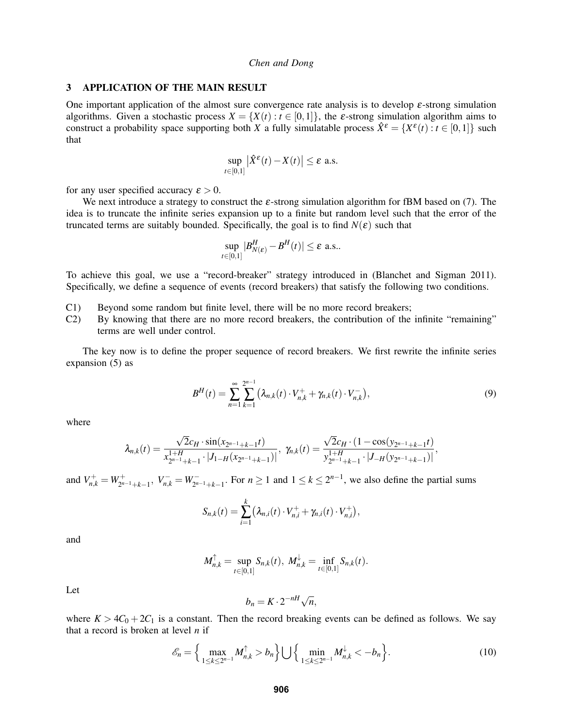## <span id="page-4-1"></span>3 APPLICATION OF THE MAIN RESULT

One important application of the almost sure convergence rate analysis is to develop  $\varepsilon$ -strong simulation algorithms. Given a stochastic process  $X = \{X(t) : t \in [0,1]\}$ , the  $\varepsilon$ -strong simulation algorithm aims to construct a probability space supporting both *X* a fully simulatable process  $\hat{X}^{\varepsilon} = \{X^{\varepsilon}(t) : t \in [0,1]\}$  such that

$$
\sup_{t\in[0,1]} \left|\hat{X}^{\varepsilon}(t) - X(t)\right| \leq \varepsilon \text{ a.s.}
$$

for any user specified accuracy  $\varepsilon > 0$ .

We next introduce a strategy to construct the  $\varepsilon$ -strong simulation algorithm for fBM based on [\(7\)](#page-3-3). The idea is to truncate the infinite series expansion up to a finite but random level such that the error of the truncated terms are suitably bounded. Specifically, the goal is to find  $N(\varepsilon)$  such that

$$
\sup_{t\in[0,1]}|B^H_{N(\varepsilon)}-B^H(t)|\leq \varepsilon \text{ a.s.}.
$$

To achieve this goal, we use a "record-breaker" strategy introduced in [\(Blanchet and Sigman 2011\)](#page-10-7). Specifically, we define a sequence of events (record breakers) that satisfy the following two conditions.

- C1) Beyond some random but finite level, there will be no more record breakers;
- C2) By knowing that there are no more record breakers, the contribution of the infinite "remaining" terms are well under control.

The key now is to define the proper sequence of record breakers. We first rewrite the infinite series expansion [\(5\)](#page-2-0) as

<span id="page-4-0"></span>
$$
B^{H}(t) = \sum_{n=1}^{\infty} \sum_{k=1}^{2^{n-1}} \left( \lambda_{n,k}(t) \cdot V_{n,k}^{+} + \gamma_{n,k}(t) \cdot V_{n,k}^{-} \right), \tag{9}
$$

where

$$
\lambda_{n,k}(t) = \frac{\sqrt{2}c_H \cdot \sin(x_{2^{n-1}+k-1}t)}{x_{2^{n-1}+k-1}^{1+H} \cdot |J_{1-H}(x_{2^{n-1}+k-1})|}, \ \gamma_{n,k}(t) = \frac{\sqrt{2}c_H \cdot (1 - \cos(y_{2^{n-1}+k-1}t)}{y_{2^{n-1}+k-1}^{1+H} \cdot |J_{-H}(y_{2^{n-1}+k-1})|},
$$

and  $V_{n,k}^+ = W_{2^{n-1}+k-1}^+$ ,  $V_{n,k}^- = W_{2^{n-1}+k-1}^-$ . For  $n \ge 1$  and  $1 \le k \le 2^{n-1}$ , we also define the partial sums

$$
S_{n,k}(t) = \sum_{i=1}^k (\lambda_{n,i}(t) \cdot V_{n,i}^+ + \gamma_{n,i}(t) \cdot V_{n,i}^+),
$$

and

$$
M_{n,k}^{\uparrow} = \sup_{t \in [0,1]} S_{n,k}(t), M_{n,k}^{\downarrow} = \inf_{t \in [0,1]} S_{n,k}(t).
$$

Let

$$
b_n = K \cdot 2^{-nH} \sqrt{n},
$$

where  $K > 4C_0 + 2C_1$  is a constant. Then the record breaking events can be defined as follows. We say that a record is broken at level *n* if

$$
\mathcal{E}_n = \left\{ \max_{1 \le k \le 2^{n-1}} M_{n,k}^{\uparrow} > b_n \right\} \bigcup \left\{ \min_{1 \le k \le 2^{n-1}} M_{n,k}^{\downarrow} < -b_n \right\}.
$$
 (10)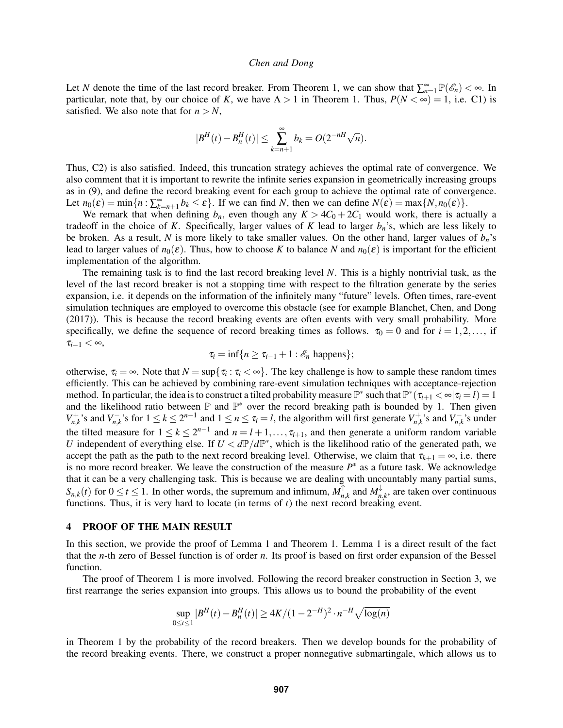Let *N* denote the time of the last record breaker. From Theorem [1,](#page-3-1) we can show that  $\sum_{n=1}^{\infty} \mathbb{P}(\mathscr{E}_n) < \infty$ . In particular, note that, by our choice of *K*, we have  $\Lambda > 1$  in Theorem [1.](#page-3-1) Thus,  $P(N < \infty) = 1$ , i.e. C1) is satisfied. We also note that for  $n > N$ ,

$$
|B^H(t) - B_n^H(t)| \le \sum_{k=n+1}^{\infty} b_k = O(2^{-nH}\sqrt{n}).
$$

Thus, C2) is also satisfied. Indeed, this truncation strategy achieves the optimal rate of convergence. We also comment that it is important to rewrite the infinite series expansion in geometrically increasing groups as in [\(9\)](#page-4-0), and define the record breaking event for each group to achieve the optimal rate of convergence. Let  $n_0(\varepsilon) = \min\{n : \sum_{k=n+1}^{\infty} b_k \leq \varepsilon\}$ . If we can find *N*, then we can define  $N(\varepsilon) = \max\{N, n_0(\varepsilon)\}$ .

We remark that when defining  $b_n$ , even though any  $K > 4C_0 + 2C_1$  would work, there is actually a tradeoff in the choice of *K*. Specifically, larger values of *K* lead to larger  $b_n$ 's, which are less likely to be broken. As a result, *N* is more likely to take smaller values. On the other hand, larger values of *bn*'s lead to larger values of  $n_0(\varepsilon)$ . Thus, how to choose K to balance N and  $n_0(\varepsilon)$  is important for the efficient implementation of the algorithm.

The remaining task is to find the last record breaking level *N*. This is a highly nontrivial task, as the level of the last record breaker is not a stopping time with respect to the filtration generate by the series expansion, i.e. it depends on the information of the infinitely many "future" levels. Often times, rare-event simulation techniques are employed to overcome this obstacle (see for example [Blanchet, Chen, and Dong](#page-10-5) [\(2017\)\)](#page-10-5). This is because the record breaking events are often events with very small probability. More specifically, we define the sequence of record breaking times as follows.  $\tau_0 = 0$  and for  $i = 1, 2, \ldots$ , if  $\tau_{i-1} < \infty$ ,

$$
\tau_i = \inf\{n \geq \tau_{i-1} + 1 : \mathscr{E}_n \text{ happens}\};
$$

otherwise,  $\tau_i = \infty$ . Note that  $N = \sup\{\tau_i : \tau_i < \infty\}$ . The key challenge is how to sample these random times efficiently. This can be achieved by combining rare-event simulation techniques with acceptance-rejection method. In particular, the idea is to construct a tilted probability measure  $\mathbb{P}^*$  such that  $\mathbb{P}^*(\tau_{i+1} < \infty | \tau_i = l) = 1$ and the likelihood ratio between  $\mathbb P$  and  $\mathbb P^*$  over the record breaking path is bounded by 1. Then given  $V_{n,k}^+$ 's and  $V_{n,k}^-$ 's for  $1 \le k \le 2^{n-1}$  and  $1 \le n \le \tau_i = l$ , the algorithm will first generate  $V_{n,k}^+$ 's and  $V_{n,k}^-$ 's under the tilted measure for  $1 \le k \le 2^{n-1}$  and  $n = l + 1, \ldots, \tau_{i+1}$ , and then generate a uniform random variable *U* independent of everything else. If  $U < dP/dP^*$ , which is the likelihood ratio of the generated path, we accept the path as the path to the next record breaking level. Otherwise, we claim that  $\tau_{k+1} = \infty$ , i.e. there is no more record breaker. We leave the construction of the measure  $P^*$  as a future task. We acknowledge that it can be a very challenging task. This is because we are dealing with uncountably many partial sums,  $S_{n,k}(t)$  for  $0 \le t \le 1$ . In other words, the supremum and infimum,  $M_n^{\uparrow}$  $\int_{n,k}^{\uparrow}$  and  $M_n^{\downarrow}$  $\psi_{n,k}$ , are taken over continuous functions. Thus, it is very hard to locate (in terms of  $t$ ) the next record breaking event.

## <span id="page-5-0"></span>4 PROOF OF THE MAIN RESULT

In this section, we provide the proof of Lemma [1](#page-2-1) and Theorem [1.](#page-3-1) Lemma [1](#page-2-1) is a direct result of the fact that the *n*-th zero of Bessel function is of order *n*. Its proof is based on first order expansion of the Bessel function.

The proof of Theorem [1](#page-3-1) is more involved. Following the record breaker construction in Section [3,](#page-4-1) we first rearrange the series expansion into groups. This allows us to bound the probability of the event

$$
\sup_{0 \le t \le 1} |B^H(t) - B_n^H(t)| \ge 4K/(1 - 2^{-H})^2 \cdot n^{-H} \sqrt{\log(n)}
$$

in Theorem [1](#page-3-1) by the probability of the record breakers. Then we develop bounds for the probability of the record breaking events. There, we construct a proper nonnegative submartingale, which allows us to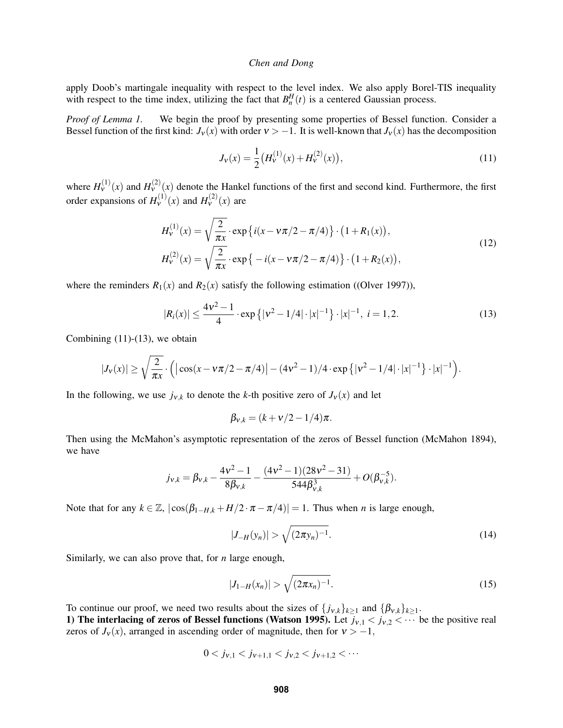apply Doob's martingale inequality with respect to the level index. We also apply Borel-TIS inequality with respect to the time index, utilizing the fact that  $B_n^H(t)$  is a centered Gaussian process.

*Proof of Lemma [1.](#page-2-1)* We begin the proof by presenting some properties of Bessel function. Consider a Bessel function of the first kind:  $J_v(x)$  with order  $v > -1$ . It is well-known that  $J_v(x)$  has the decomposition

<span id="page-6-0"></span>
$$
J_{\nu}(x) = \frac{1}{2} \left( H_{\nu}^{(1)}(x) + H_{\nu}^{(2)}(x) \right),\tag{11}
$$

where  $H_V^{(1)}(x)$  and  $H_V^{(2)}(x)$  denote the Hankel functions of the first and second kind. Furthermore, the first order expansions of  $H_V^{(1)}(x)$  and  $H_V^{(2)}(x)$  are

$$
H_{\nu}^{(1)}(x) = \sqrt{\frac{2}{\pi x}} \cdot \exp\left\{i(x - \nu\pi/2 - \pi/4)\right\} \cdot (1 + R_1(x)),
$$
  
\n
$$
H_{\nu}^{(2)}(x) = \sqrt{\frac{2}{\pi x}} \cdot \exp\left\{-i(x - \nu\pi/2 - \pi/4)\right\} \cdot (1 + R_2(x)),
$$
\n(12)

where the reminders  $R_1(x)$  and  $R_2(x)$  satisfy the following estimation ([\(Olver 1997\)](#page-11-13)),

<span id="page-6-1"></span>
$$
|R_i(x)| \le \frac{4v^2 - 1}{4} \cdot \exp\left\{|v^2 - 1/4| \cdot |x|^{-1}\right\} \cdot |x|^{-1}, \ i = 1, 2. \tag{13}
$$

Combining  $(11)-(13)$  $(11)-(13)$  $(11)-(13)$ , we obtain

$$
|J_{\nu}(x)| \geq \sqrt{\frac{2}{\pi x}} \cdot (|\cos(x - \nu \pi/2 - \pi/4)| - (4\nu^2 - 1)/4 \cdot \exp\{|{\nu^2 - 1/4}| \cdot |x|^{-1}\} \cdot |x|^{-1}).
$$

In the following, we use  $j_{v,k}$  to denote the *k*-th positive zero of  $J_v(x)$  and let

$$
\beta_{v,k} = (k + v/2 - 1/4)\pi.
$$

Then using the McMahon's asymptotic representation of the zeros of Bessel function [\(McMahon 1894\)](#page-11-14), we have

$$
j_{v,k} = \beta_{v,k} - \frac{4v^2 - 1}{8\beta_{v,k}} - \frac{(4v^2 - 1)(28v^2 - 31)}{544\beta_{v,k}^3} + O(\beta_{v,k}^{-5}).
$$

Note that for any  $k \in \mathbb{Z}$ ,  $|\cos(\beta_{1-H,k} + H/2 \cdot \pi - \pi/4)| = 1$ . Thus when *n* is large enough,

<span id="page-6-2"></span>
$$
|J_{-H}(y_n)| > \sqrt{(2\pi y_n)^{-1}}.
$$
\n(14)

Similarly, we can also prove that, for *n* large enough,

$$
|J_{1-H}(x_n)| > \sqrt{(2\pi x_n)^{-1}}.
$$
\n(15)

To continue our proof, we need two results about the sizes of  $\{j_{v,k}\}_{k\geq 1}$  and  $\{\beta_{v,k}\}_{k\geq 1}$ . 1) The interlacing of zeros of Bessel functions [\(Watson 1995\)](#page-11-15). Let  $j_{v,1} < j_{v,2} < \cdots$  be the positive real

zeros of  $J_v(x)$ , arranged in ascending order of magnitude, then for  $v > -1$ ,

$$
0 < j_{v,1} < j_{v+1,1} < j_{v,2} < j_{v+1,2} < \cdots
$$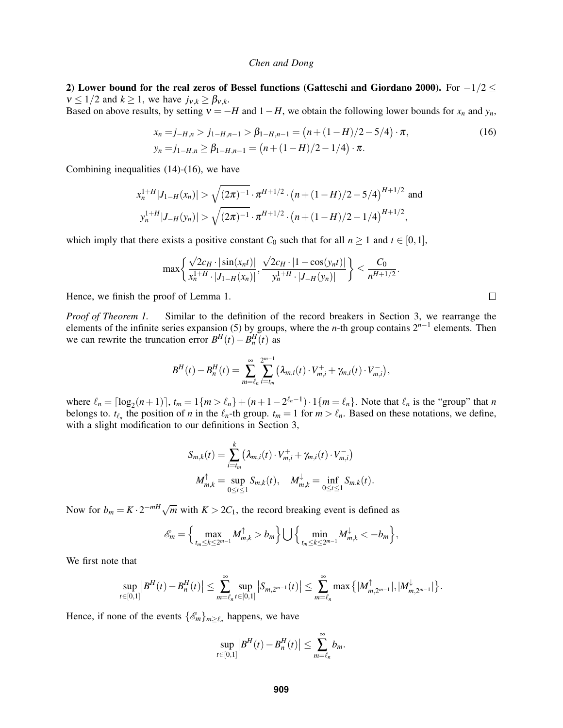2) Lower bound for the real zeros of Bessel functions [\(Gatteschi and Giordano 2000\)](#page-11-16). For  $-1/2 \le$  $v \le 1/2$  and  $k \ge 1$ , we have  $j_{v,k} \ge \beta_{v,k}$ .

Based on above results, by setting  $v = -H$  and  $1 - H$ , we obtain the following lower bounds for  $x_n$  and  $y_n$ ,

$$
x_n = j_{-H,n} > j_{1-H,n-1} > \beta_{1-H,n-1} = (n + (1 - H)/2 - 5/4) \cdot \pi,
$$
  
\n
$$
y_n = j_{1-H,n} \ge \beta_{1-H,n-1} = (n + (1 - H)/2 - 1/4) \cdot \pi.
$$
 (16)

Combining inequalities [\(14\)](#page-6-2)-[\(16\)](#page-7-0), we have

$$
x_n^{1+H}|J_{1-H}(x_n)| > \sqrt{(2\pi)^{-1}} \cdot \pi^{H+1/2} \cdot (n + (1-H)/2 - 5/4)^{H+1/2}
$$
 and  

$$
y_n^{1+H}|J_{-H}(y_n)| > \sqrt{(2\pi)^{-1}} \cdot \pi^{H+1/2} \cdot (n + (1-H)/2 - 1/4)^{H+1/2},
$$

which imply that there exists a positive constant  $C_0$  such that for all  $n \ge 1$  and  $t \in [0,1]$ ,

$$
\max\left\{\frac{\sqrt{2}c_{H} \cdot |\sin(x_{n}t)|}{x_{n}^{1+H} \cdot |J_{1-H}(x_{n})|}, \frac{\sqrt{2}c_{H} \cdot |1-\cos(y_{n}t)|}{y_{n}^{1+H} \cdot |J_{-H}(y_{n})|}\right\} \leq \frac{C_{0}}{n^{H+1/2}}.
$$

Hence, we finish the proof of Lemma [1.](#page-2-1)

*Proof of Theorem [1.](#page-3-1)* Similar to the definition of the record breakers in Section [3,](#page-4-1) we rearrange the elements of the infinite series expansion [\(5\)](#page-2-0) by groups, where the *n*-th group contains 2*n*−<sup>1</sup> elements. Then we can rewrite the truncation error  $B<sup>H</sup>(t) - B<sup>H</sup><sub>n</sub>(t)$  as

$$
B^{H}(t) - B_{n}^{H}(t) = \sum_{m=\ell_{n}}^{\infty} \sum_{i=t_{m}}^{2^{m-1}} (\lambda_{m,i}(t) \cdot V_{m,i}^{+} + \gamma_{m,i}(t) \cdot V_{m,i}^{-}),
$$

where  $\ell_n = \lceil \log_2(n+1) \rceil$ ,  $t_m = 1\{m > \ell_n\} + (n+1-2^{\ell_n-1}) \cdot 1\{m = \ell_n\}$ . Note that  $\ell_n$  is the "group" that *n* belongs to.  $t_{\ell_n}$  the position of *n* in the  $\ell_n$ -th group.  $t_m = 1$  for  $m > \ell_n$ . Based on these notations, we define, with a slight modification to our definitions in Section [3,](#page-4-1)

$$
S_{m,k}(t) = \sum_{i=t_m}^{k} (\lambda_{m,i}(t) \cdot V_{m,i}^+ + \gamma_{m,i}(t) \cdot V_{m,i}^-)
$$
  

$$
M_{m,k}^{\uparrow} = \sup_{0 \le t \le 1} S_{m,k}(t), \quad M_{m,k}^{\downarrow} = \inf_{0 \le t \le 1} S_{m,k}(t).
$$

Now for  $b_m = K \cdot 2^{-mH} \sqrt{m}$  with  $K > 2C_1$ , the record breaking event is defined as

$$
\mathscr{E}_m = \Big\{\max_{t_m \leq k \leq 2^{m-1}} M_{m,k}^{\uparrow} > b_m\Big\} \bigcup \Big\{\min_{t_m \leq k \leq 2^{m-1}} M_{m,k}^{\downarrow} < -b_m\Big\},\
$$

We first note that

$$
\sup_{t\in[0,1]}|B^H(t)-B_n^H(t)|\leq \sum_{m=\ell_n}^{\infty}\sup_{t\in[0,1]}|S_{m,2^{m-1}}(t)|\leq \sum_{m=\ell_n}^{\infty}\max\big\{|M_{m,2^{m-1}}^{\uparrow}|,|M_{m,2^{m-1}}^{\downarrow}| \big\}.
$$

Hence, if none of the events  $\{\mathscr{E}_m\}_{m \geq \ell_n}$  happens, we have

$$
\sup_{t\in[0,1]}|B^H(t)-B_n^H(t)|\leq \sum_{m=\ell_n}^{\infty}b_m.
$$

<span id="page-7-0"></span> $\Box$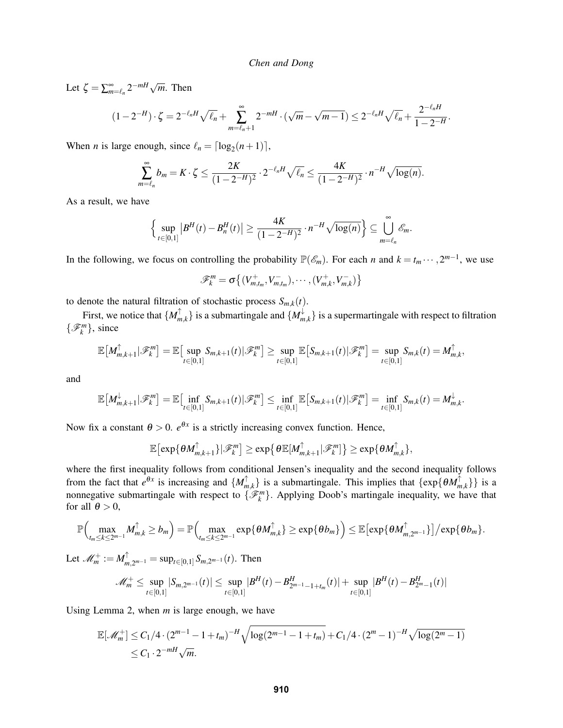Let  $\zeta = \sum_{m=\ell_n}^{\infty} 2^{-mH} \sqrt{m}$ . Then

$$
(1-2^{-H})\cdot \zeta = 2^{-\ell_n H} \sqrt{\ell_n} + \sum_{m=\ell_n+1}^{\infty} 2^{-mH} \cdot (\sqrt{m} - \sqrt{m-1}) \le 2^{-\ell_n H} \sqrt{\ell_n} + \frac{2^{-\ell_n H}}{1-2^{-H}}.
$$

When *n* is large enough, since  $\ell_n = \lceil \log_2(n+1) \rceil$ ,

$$
\sum_{m=\ell_n}^{\infty} b_m = K \cdot \zeta \le \frac{2K}{(1-2^{-H})^2} \cdot 2^{-\ell_n H} \sqrt{\ell_n} \le \frac{4K}{(1-2^{-H})^2} \cdot n^{-H} \sqrt{\log(n)}.
$$

As a result, we have

$$
\left\{\sup_{t\in[0,1]}|B^H(t)-B_n^H(t)|\geq \frac{4K}{(1-2^{-H})^2}\cdot n^{-H}\sqrt{\log(n)}\right\}\subseteq \bigcup_{m=\ell_n}^{\infty}\mathscr{E}_m.
$$

In the following, we focus on controlling the probability  $\mathbb{P}(\mathscr{E}_m)$ . For each *n* and  $k = t_m \cdots, 2^{m-1}$ , we use

$$
\mathcal{F}_k^m = \sigma \{ (V_{m,t_m}^+, V_{m,t_m}^-), \cdots, (V_{m,k}^+, V_{m,k}^-) \}
$$

to denote the natural filtration of stochastic process  $S_{m,k}(t)$ .

First, we notice that  $\{M_n^{\uparrow}\}$  $\{m,k\}$  is a submartingale and  $\{M_m^{\downarrow}\}$  $\{m_{m,k}\}\$  is a supermartingale with respect to filtration  $\{\mathscr{F}_k^m\}$ , since

$$
\mathbb{E}\big[M_{m,k+1}^{\uparrow}|\mathscr{F}_k^m\big] = \mathbb{E}\big[\sup_{t\in[0,1]}S_{m,k+1}(t)|\mathscr{F}_k^m\big] \geq \sup_{t\in[0,1]}\mathbb{E}\big[S_{m,k+1}(t)|\mathscr{F}_k^m\big] = \sup_{t\in[0,1]}S_{m,k}(t) = M_{m,k}^{\uparrow},
$$

and

$$
\mathbb{E}\big[M_{m,k+1}^{\downarrow}|\mathscr{F}_k^m\big] = \mathbb{E}\big[\inf_{t\in[0,1]}S_{m,k+1}(t)|\mathscr{F}_k^m\big] \leq \inf_{t\in[0,1]}\mathbb{E}\big[S_{m,k+1}(t)|\mathscr{F}_k^m\big] = \inf_{t\in[0,1]}S_{m,k}(t) = M_{m,k}^{\downarrow}.
$$

Now fix a constant  $\theta > 0$ .  $e^{\theta x}$  is a strictly increasing convex function. Hence,

$$
\mathbb{E}\big[\exp\{\theta M_{m,k+1}^{\uparrow}\}\big|\mathscr{F}_k^m\big]\geq \exp\big\{\theta \mathbb{E}[M_{m,k+1}^{\uparrow}|\mathscr{F}_k^m]\big\}\geq \exp\{\theta M_{m,k}^{\uparrow}\},
$$

where the first inequality follows from conditional Jensen's inequality and the second inequality follows from the fact that  $e^{\theta x}$  is increasing and  $\{M_m^{\uparrow}\}$ *m*,*k* } is a submartingale. This implies that {exp{θ*M* ↑  $\{m,k\}$ } is a nonnegative submartingale with respect to  $\{\mathcal{F}_{k}^{m}\}$ . Applying Doob's martingale inequality, we have that for all  $\theta > 0$ ,

$$
\mathbb{P}\Big(\max_{t_m\leq k\leq 2^{m-1}}M_{m,k}^{\uparrow}\geq b_m\Big)=\mathbb{P}\Big(\max_{t_m\leq k\leq 2^{m-1}}\exp\{\theta M_{m,k}^{\uparrow}\}\geq \exp\{\theta b_m\}\Big)\leq \mathbb{E}\big[\exp\{\theta M_{m,2^{m-1}}^{\uparrow}\}\big]/\exp\{\theta b_m\}.
$$

Let  $\mathscr{M}_m^+ := M_m^\uparrow$  $\lim_{m,2^{m-1}}$  = sup<sub>*t*∈[0,1]</sub> *S*<sub>*m*,2<sup>*m*−1</sup></sub>(*t*). Then

$$
\mathscr{M}_m^+ \leq \sup_{t \in [0,1]} |S_{m,2^{m-1}}(t)| \leq \sup_{t \in [0,1]} |B^H(t) - B_{2^{m-1}-1+t_m}^H(t)| + \sup_{t \in [0,1]} |B^H(t) - B_{2^m-1}^H(t)|
$$

Using Lemma [2,](#page-3-0) when *m* is large enough, we have

$$
\mathbb{E}[\mathcal{M}_m^+] \leq C_1/4 \cdot (2^{m-1} - 1 + t_m)^{-H} \sqrt{\log(2^{m-1} - 1 + t_m)} + C_1/4 \cdot (2^m - 1)^{-H} \sqrt{\log(2^m - 1)}
$$
  
  $\leq C_1 \cdot 2^{-m} \sqrt{m}.$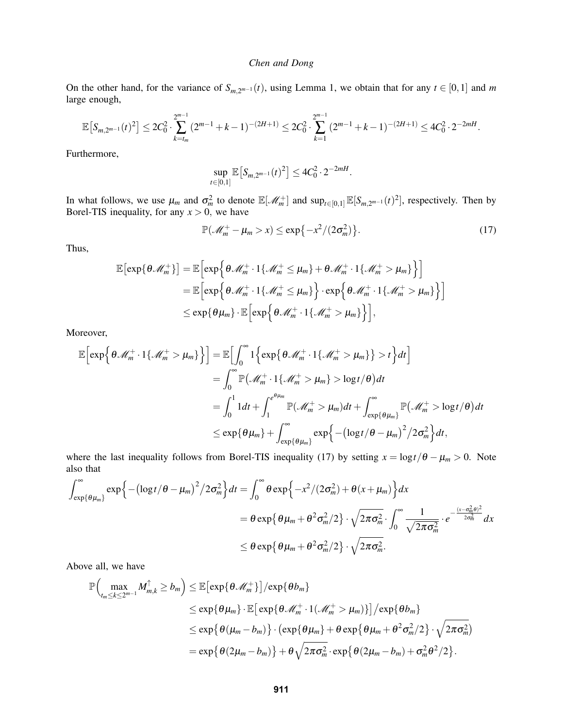On the other hand, for the variance of  $S_{m,2^{m-1}}(t)$ , using Lemma [1,](#page-2-1) we obtain that for any  $t \in [0,1]$  and m large enough,

$$
\mathbb{E}\left[S_{m,2^{m-1}}(t)^2\right] \leq 2C_0^2 \cdot \sum_{k=t_m}^{2^{m-1}} (2^{m-1}+k-1)^{-(2H+1)} \leq 2C_0^2 \cdot \sum_{k=1}^{2^{m-1}} (2^{m-1}+k-1)^{-(2H+1)} \leq 4C_0^2 \cdot 2^{-2mH}.
$$

Furthermore,

$$
\sup_{t\in[0,1]}\mathbb{E}\left[S_{m,2^{m-1}}(t)^2\right]\leq 4C_0^2\cdot 2^{-2mH}.
$$

In what follows, we use  $\mu_m$  and  $\sigma_m^2$  to denote  $\mathbb{E}[\mathcal{M}_m^+]$  and  $\sup_{t \in [0,1]} \mathbb{E}[S_{m,2^{m-1}}(t)^2]$ , respectively. Then by Borel-TIS inequality, for any  $x > 0$ , we have

<span id="page-9-0"></span>
$$
\mathbb{P}(\mathcal{M}_m^+ - \mu_m > x) \le \exp\{-x^2/(2\sigma_m^2)\}.
$$
\n(17)

Thus,

$$
\mathbb{E}[\exp{\theta \mathcal{M}_{m}^{+}}] = \mathbb{E}[\exp{\theta \mathcal{M}_{m}^{+} \cdot 1\{\mathcal{M}_{m}^{+} \leq \mu_{m}\} + \theta \mathcal{M}_{m}^{+} \cdot 1\{\mathcal{M}_{m}^{+} > \mu_{m}\}\}]
$$
\n
$$
= \mathbb{E}[\exp{\theta \mathcal{M}_{m}^{+} \cdot 1\{\mathcal{M}_{m}^{+} \leq \mu_{m}\}} \cdot \exp{\theta \mathcal{M}_{m}^{+} \cdot 1\{\mathcal{M}_{m}^{+} > \mu_{m}\}\}]
$$
\n
$$
\leq \exp{\theta \mu_{m}} \cdot \mathbb{E}[\exp{\theta \mathcal{M}_{m}^{+} \cdot 1\{\mathcal{M}_{m}^{+} > \mu_{m}\}\}],
$$

Moreover,

$$
\mathbb{E}\left[\exp\left\{\theta \mathcal{M}_{m}^{+}\cdot\mathbb{1}\{\mathcal{M}_{m}^{+}>\mu_{m}\}\right\}\right]=\mathbb{E}\left[\int_{0}^{\infty}\mathbb{1}\left\{\exp\{\theta \mathcal{M}_{m}^{+}\cdot\mathbb{1}\{\mathcal{M}_{m}^{+}>\mu_{m}\}\}\right\}t\right]dt
$$
\n
$$
=\int_{0}^{\infty}\mathbb{P}(\mathcal{M}_{m}^{+}\cdot\mathbb{1}\{\mathcal{M}_{m}^{+}>\mu_{m}\}\right\}D\log t/\theta)dt
$$
\n
$$
=\int_{0}^{1}1dt+\int_{1}^{e^{\theta\mu_{m}}}\mathbb{P}(\mathcal{M}_{m}^{+}>\mu_{m})dt+\int_{\exp\{\theta\mu_{m}\}}^{\infty}\mathbb{P}(\mathcal{M}_{m}^{+}D\log t/\theta)dt
$$
\n
$$
\leq \exp\{\theta\mu_{m}\}+\int_{\exp\{\theta\mu_{m}\}}^{\infty}\exp\left\{-\left(\log t/\theta-\mu_{m}\right)^{2}/2\sigma_{m}^{2}\right\}dt,
$$

where the last inequality follows from Borel-TIS inequality [\(17\)](#page-9-0) by setting  $x = \log t/\theta - \mu_m > 0$ . Note also that

$$
\int_{\exp\{\theta\mu_m\}}^{\infty} \exp\left\{-\left(\log t/\theta - \mu_m\right)^2/2\sigma_m^2\right\} dt = \int_0^{\infty} \theta \exp\left\{-x^2/(2\sigma_m^2) + \theta(x+\mu_m)\right\} dx
$$

$$
= \theta \exp\left\{\theta\mu_m + \theta^2 \sigma_m^2/2\right\} \cdot \sqrt{2\pi \sigma_m^2} \cdot \int_0^{\infty} \frac{1}{\sqrt{2\pi \sigma_m^2}} \cdot e^{-\frac{(x-\sigma_m^2\theta)^2}{2\sigma_m^2}} dx
$$

$$
\leq \theta \exp\left\{\theta\mu_m + \theta^2 \sigma_m^2/2\right\} \cdot \sqrt{2\pi \sigma_m^2}.
$$

Above all, we have

$$
\mathbb{P}\Big(\max_{t_m\leq k\leq 2^{m-1}}M_{m,k}^{\uparrow}\geq b_m\Big)\leq \mathbb{E}\big[\exp\{\theta \mathcal{M}_{m}^{+}\}\big]/\exp\{\theta b_m\}\n\leq \exp\{\theta \mu_m\}\cdot \mathbb{E}\big[\exp\{\theta \mathcal{M}_{m}^{+}\cdot 1(\mathcal{M}_{m}^{+}>\mu_m)\}\big]/\exp\{\theta b_m\}\n\leq \exp\{\theta(\mu_m-b_m)\}\cdot \big(\exp\{\theta \mu_m\}+\theta \exp\{\theta \mu_m+\theta^2 \sigma_m^2/2\}\cdot \sqrt{2\pi \sigma_m^2}\big)\n\n=\exp\{\theta(2\mu_m-b_m)\}+\theta\sqrt{2\pi \sigma_m^2}\cdot \exp\{\theta(2\mu_m-b_m)+\sigma_m^2 \theta^2/2\}.
$$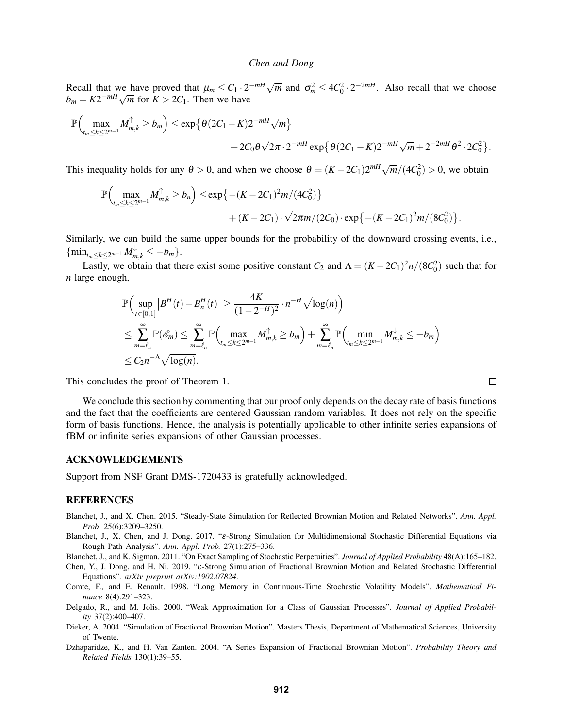Recall that we have proved that  $\mu_m \leq C_1 \cdot 2^{-mH} \sqrt{m}$  and  $\sigma_m^2 \leq 4C_0^2 \cdot 2^{-2mH}$ . Also recall that we choose *b*<sub>*m*</sub> =  $K2^{-mH}\sqrt{m}$  for  $K > 2C_1$ . Then we have

$$
\mathbb{P}\Big(\max_{t_m\leq k\leq 2^{m-1}}M_{m,k}^{\uparrow}\geq b_m\Big)\leq \exp\big\{\theta(2C_1-K)2^{-mH}\sqrt{m}\big\}\\+2C_0\theta\sqrt{2\pi}\cdot 2^{-mH}\exp\big\{\theta(2C_1-K)2^{-mH}\sqrt{m}+2^{-2mH}\theta^2\cdot 2C_0^2\big\}.
$$

This inequality holds for any  $\theta > 0$ , and when we choose  $\theta = (K - 2C_1)2^{mH}\sqrt{m}/(4C_0^2) > 0$ , we obtain

$$
\mathbb{P}\Big(\max_{t_m\leq k\leq 2^{m-1}} M_{m,k}^{\uparrow} \geq b_n\Big) \leq \exp\big\{-(K-2C_1)^2m/(4C_0^2)\big\} + (K-2C_1)\cdot \sqrt{2\pi m}/(2C_0)\cdot \exp\big\{-(K-2C_1)^2m/(8C_0^2)\big\}.
$$

Similarly, we can build the same upper bounds for the probability of the downward crossing events, i.e.,  $\{\min_{t_m \leq k \leq 2^{m-1}} M_{m,k}^{\downarrow} \leq -b_m\}.$ 

Lastly, we obtain that there exist some positive constant  $C_2$  and  $\Lambda = (K - 2C_1)^2 n/(8C_0^2)$  such that for *n* large enough,

$$
\mathbb{P}\Big(\sup_{t\in[0,1]}|B^H(t)-B_n^H(t)|\geq \frac{4K}{(1-2^{-H})^2}\cdot n^{-H}\sqrt{\log(n)}\Big) \n\leq \sum_{m=\ell_n}^{\infty}\mathbb{P}(\mathscr{E}_m)\leq \sum_{m=\ell_n}^{\infty}\mathbb{P}\Big(\max_{t_m\leq k\leq 2^{m-1}}M_{m,k}^{\uparrow}\geq b_m\Big)+\sum_{m=\ell_n}^{\infty}\mathbb{P}\Big(\min_{t_m\leq k\leq 2^{m-1}}M_{m,k}^{\downarrow}\leq -b_m\Big) \n\leq C_2n^{-\Lambda}\sqrt{\log(n)}.
$$

This concludes the proof of Theorem [1.](#page-3-1)

We conclude this section by commenting that our proof only depends on the decay rate of basis functions and the fact that the coefficients are centered Gaussian random variables. It does not rely on the specific form of basis functions. Hence, the analysis is potentially applicable to other infinite series expansions of fBM or infinite series expansions of other Gaussian processes.

## ACKNOWLEDGEMENTS

Support from NSF Grant DMS-1720433 is gratefully acknowledged.

## **REFERENCES**

- <span id="page-10-4"></span>Blanchet, J., and X. Chen. 2015. "Steady-State Simulation for Reflected Brownian Motion and Related Networks". *Ann. Appl. Prob.* 25(6):3209–3250.
- <span id="page-10-5"></span>Blanchet, J., X. Chen, and J. Dong. 2017. "ε-Strong Simulation for Multidimensional Stochastic Differential Equations via Rough Path Analysis". *Ann. Appl. Prob.* 27(1):275–336.

<span id="page-10-7"></span>Blanchet, J., and K. Sigman. 2011. "On Exact Sampling of Stochastic Perpetuities". *Journal of Applied Probability* 48(A):165–182.

- <span id="page-10-6"></span>Chen, Y., J. Dong, and H. Ni. 2019. "ε-Strong Simulation of Fractional Brownian Motion and Related Stochastic Differential Equations". *arXiv preprint arXiv:1902.07824*.
- <span id="page-10-1"></span>Comte, F., and E. Renault. 1998. "Long Memory in Continuous-Time Stochastic Volatility Models". *Mathematical Finance* 8(4):291–323.
- <span id="page-10-3"></span>Delgado, R., and M. Jolis. 2000. "Weak Approximation for a Class of Gaussian Processes". *Journal of Applied Probability* 37(2):400–407.
- <span id="page-10-2"></span>Dieker, A. 2004. "Simulation of Fractional Brownian Motion". Masters Thesis, Department of Mathematical Sciences, University of Twente.
- <span id="page-10-0"></span>Dzhaparidze, K., and H. Van Zanten. 2004. "A Series Expansion of Fractional Brownian Motion". *Probability Theory and Related Fields* 130(1):39–55.

 $\Box$